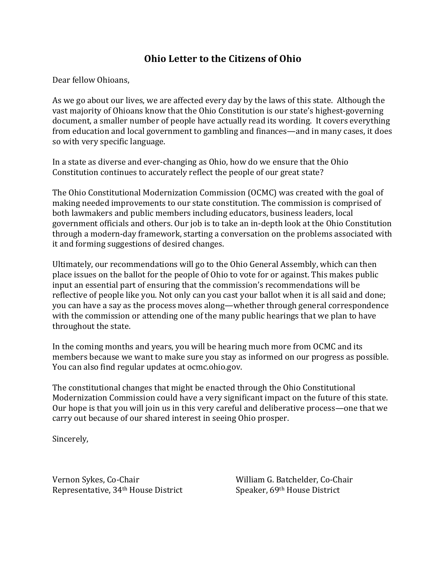# **Ohio Letter to the Citizens of Ohio**

Dear fellow Ohioans,

As we go about our lives, we are affected every day by the laws of this state. Although the vast majority of Ohioans know that the Ohio Constitution is our state's highest-governing document, a smaller number of people have actually read its wording. It covers everything from education and local government to gambling and finances—and in many cases, it does so with very specific language.

In a state as diverse and ever-changing as Ohio, how do we ensure that the Ohio Constitution continues to accurately reflect the people of our great state?

The Ohio Constitutional Modernization Commission (OCMC) was created with the goal of making needed improvements to our state constitution. The commission is comprised of both lawmakers and public members including educators, business leaders, local government officials and others. Our job is to take an in-depth look at the Ohio Constitution through a modern-day framework, starting a conversation on the problems associated with it and forming suggestions of desired changes.

Ultimately, our recommendations will go to the Ohio General Assembly, which can then place issues on the ballot for the people of Ohio to vote for or against. This makes public input an essential part of ensuring that the commission's recommendations will be reflective of people like you. Not only can you cast your ballot when it is all said and done; you can have a say as the process moves along—whether through general correspondence with the commission or attending one of the many public hearings that we plan to have throughout the state.

In the coming months and years, you will be hearing much more from OCMC and its members because we want to make sure you stay as informed on our progress as possible. You can also find regular updates at ocmc.ohio.gov.

The constitutional changes that might be enacted through the Ohio Constitutional Modernization Commission could have a very significant impact on the future of this state. Our hope is that you will join us in this very careful and deliberative process—one that we carry out because of our shared interest in seeing Ohio prosper.

Sincerely,

Vernon Sykes, Co-Chair William G. Batchelder, Co-Chair Representative, 34<sup>th</sup> House District Speaker, 69<sup>th</sup> House District